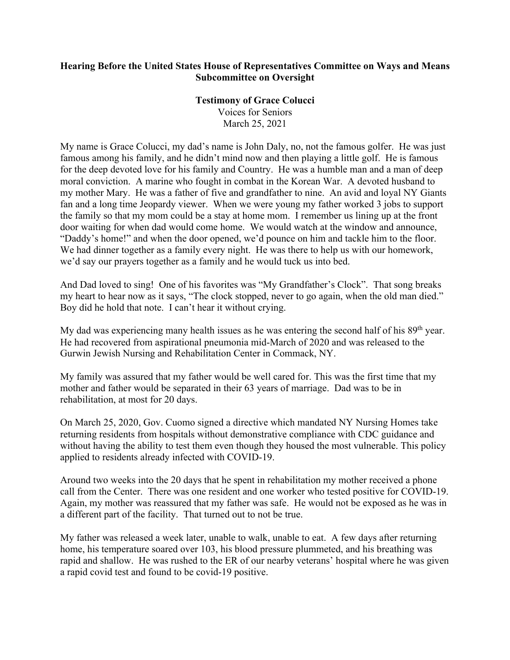## **Hearing Before the United States House of Representatives Committee on Ways and Means Subcommittee on Oversight**

## **Testimony of Grace Colucci**

Voices for Seniors March 25, 2021

My name is Grace Colucci, my dad's name is John Daly, no, not the famous golfer. He was just famous among his family, and he didn't mind now and then playing a little golf. He is famous for the deep devoted love for his family and Country. He was a humble man and a man of deep moral conviction. A marine who fought in combat in the Korean War. A devoted husband to my mother Mary. He was a father of five and grandfather to nine. An avid and loyal NY Giants fan and a long time Jeopardy viewer. When we were young my father worked 3 jobs to support the family so that my mom could be a stay at home mom. I remember us lining up at the front door waiting for when dad would come home. We would watch at the window and announce, "Daddy's home!" and when the door opened, we'd pounce on him and tackle him to the floor. We had dinner together as a family every night. He was there to help us with our homework, we'd say our prayers together as a family and he would tuck us into bed.

And Dad loved to sing! One of his favorites was "My Grandfather's Clock". That song breaks my heart to hear now as it says, "The clock stopped, never to go again, when the old man died." Boy did he hold that note. I can't hear it without crying.

My dad was experiencing many health issues as he was entering the second half of his  $89<sup>th</sup>$  year. He had recovered from aspirational pneumonia mid-March of 2020 and was released to the Gurwin Jewish Nursing and Rehabilitation Center in Commack, NY.

My family was assured that my father would be well cared for. This was the first time that my mother and father would be separated in their 63 years of marriage. Dad was to be in rehabilitation, at most for 20 days.

On March 25, 2020, Gov. Cuomo signed a directive which mandated NY Nursing Homes take returning residents from hospitals without demonstrative compliance with CDC guidance and without having the ability to test them even though they housed the most vulnerable. This policy applied to residents already infected with COVID-19.

Around two weeks into the 20 days that he spent in rehabilitation my mother received a phone call from the Center. There was one resident and one worker who tested positive for COVID-19. Again, my mother was reassured that my father was safe. He would not be exposed as he was in a different part of the facility. That turned out to not be true.

My father was released a week later, unable to walk, unable to eat. A few days after returning home, his temperature soared over 103, his blood pressure plummeted, and his breathing was rapid and shallow. He was rushed to the ER of our nearby veterans' hospital where he was given a rapid covid test and found to be covid-19 positive.